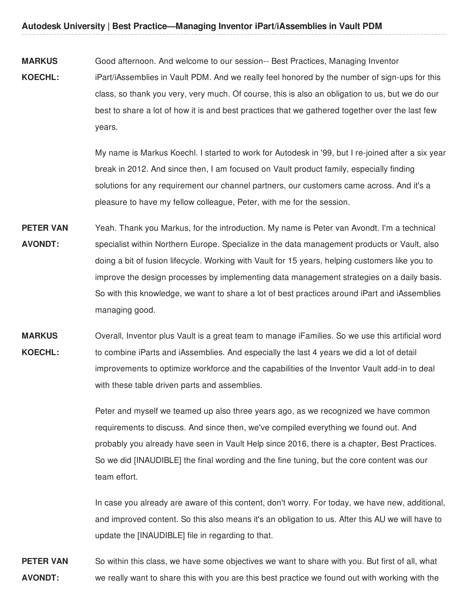**MARKUS** Good afternoon. And welcome to our session-- Best Practices, Managing Inventor

**KOECHL:** iPart/iAssemblies in Vault PDM. And we really feel honored by the number of sign-ups for this class, so thank you very, very much. Of course, this is also an obligation to us, but we do our best to share a lot of how it is and best practices that we gathered together over the last few years.

> My name is Markus Koechl. I started to work for Autodesk in '99, but I re-joined after a six year break in 2012. And since then, I am focused on Vault product family, especially finding solutions for any requirement our channel partners, our customers came across. And it's a pleasure to have my fellow colleague, Peter, with me for the session.

- **PETER VAN AVONDT:** Yeah. Thank you Markus, for the introduction. My name is Peter van Avondt. I'm a technical specialist within Northern Europe. Specialize in the data management products or Vault, also doing a bit of fusion lifecycle. Working with Vault for 15 years, helping customers like you to improve the design processes by implementing data management strategies on a daily basis. So with this knowledge, we want to share a lot of best practices around iPart and iAssemblies managing good.
- **MARKUS KOECHL:** Overall, Inventor plus Vault is a great team to manage iFamilies. So we use this artificial word to combine iParts and iAssemblies. And especially the last 4 years we did a lot of detail improvements to optimize workforce and the capabilities of the Inventor Vault add-in to deal with these table driven parts and assemblies.

Peter and myself we teamed up also three years ago, as we recognized we have common requirements to discuss. And since then, we've compiled everything we found out. And probably you already have seen in Vault Help since 2016, there is a chapter, Best Practices. So we did [INAUDIBLE] the final wording and the fine tuning, but the core content was our team effort.

In case you already are aware of this content, don't worry. For today, we have new, additional, and improved content. So this also means it's an obligation to us. After this AU we will have to update the [INAUDIBLE] file in regarding to that.

**PETER VAN AVONDT:** So within this class, we have some objectives we want to share with you. But first of all, what we really want to share this with you are this best practice we found out with working with the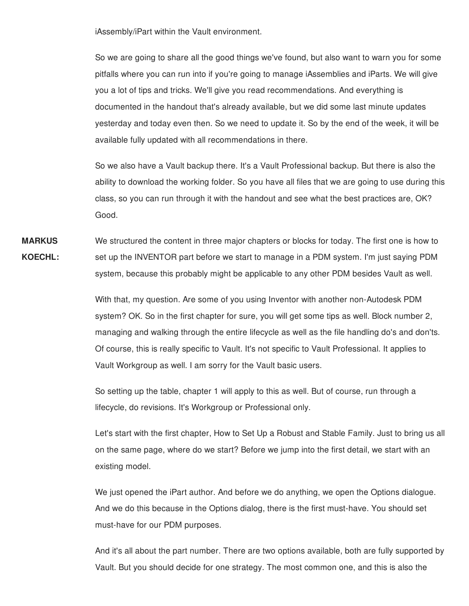iAssembly/iPart within the Vault environment.

So we are going to share all the good things we've found, but also want to warn you for some pitfalls where you can run into if you're going to manage iAssemblies and iParts. We will give you a lot of tips and tricks. We'll give you read recommendations. And everything is documented in the handout that's already available, but we did some last minute updates yesterday and today even then. So we need to update it. So by the end of the week, it will be available fully updated with all recommendations in there.

So we also have a Vault backup there. It's a Vault Professional backup. But there is also the ability to download the working folder. So you have all files that we are going to use during this class, so you can run through it with the handout and see what the best practices are, OK? Good.

**MARKUS KOECHL:** We structured the content in three major chapters or blocks for today. The first one is how to set up the INVENTOR part before we start to manage in a PDM system. I'm just saying PDM system, because this probably might be applicable to any other PDM besides Vault as well.

> With that, my question. Are some of you using Inventor with another non-Autodesk PDM system? OK. So in the first chapter for sure, you will get some tips as well. Block number 2, managing and walking through the entire lifecycle as well as the file handling do's and don'ts. Of course, this is really specific to Vault. It's not specific to Vault Professional. It applies to Vault Workgroup as well. I am sorry for the Vault basic users.

So setting up the table, chapter 1 will apply to this as well. But of course, run through a lifecycle, do revisions. It's Workgroup or Professional only.

Let's start with the first chapter, How to Set Up a Robust and Stable Family. Just to bring us all on the same page, where do we start? Before we jump into the first detail, we start with an existing model.

We just opened the iPart author. And before we do anything, we open the Options dialogue. And we do this because in the Options dialog, there is the first must-have. You should set must-have for our PDM purposes.

And it's all about the part number. There are two options available, both are fully supported by Vault. But you should decide for one strategy. The most common one, and this is also the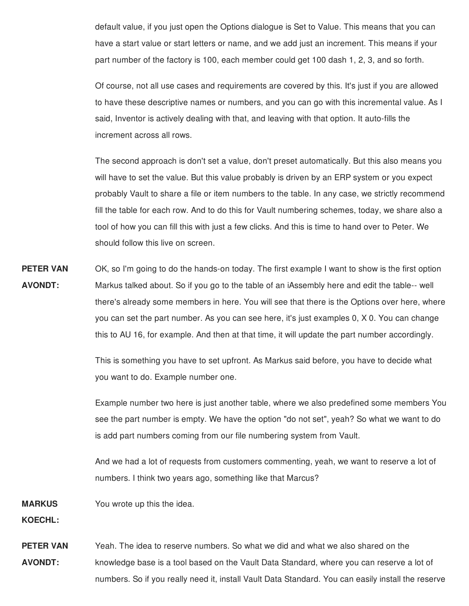default value, if you just open the Options dialogue is Set to Value. This means that you can have a start value or start letters or name, and we add just an increment. This means if your part number of the factory is 100, each member could get 100 dash 1, 2, 3, and so forth.

Of course, not all use cases and requirements are covered by this. It's just if you are allowed to have these descriptive names or numbers, and you can go with this incremental value. As I said, Inventor is actively dealing with that, and leaving with that option. It auto-fills the increment across all rows.

The second approach is don't set a value, don't preset automatically. But this also means you will have to set the value. But this value probably is driven by an ERP system or you expect probably Vault to share a file or item numbers to the table. In any case, we strictly recommend fill the table for each row. And to do this for Vault numbering schemes, today, we share also a tool of how you can fill this with just a few clicks. And this is time to hand over to Peter. We should follow this live on screen.

**PETER VAN AVONDT:** OK, so I'm going to do the hands-on today. The first example I want to show is the first option Markus talked about. So if you go to the table of an iAssembly here and edit the table-- well there's already some members in here. You will see that there is the Options over here, where you can set the part number. As you can see here, it's just examples 0, X 0. You can change this to AU 16, for example. And then at that time, it will update the part number accordingly.

> This is something you have to set upfront. As Markus said before, you have to decide what you want to do. Example number one.

Example number two here is just another table, where we also predefined some members You see the part number is empty. We have the option "do not set", yeah? So what we want to do is add part numbers coming from our file numbering system from Vault.

And we had a lot of requests from customers commenting, yeah, we want to reserve a lot of numbers. I think two years ago, something like that Marcus?

**MARKUS** You wrote up this the idea.

**KOECHL:**

**PETER VAN AVONDT:** Yeah. The idea to reserve numbers. So what we did and what we also shared on the knowledge base is a tool based on the Vault Data Standard, where you can reserve a lot of numbers. So if you really need it, install Vault Data Standard. You can easily install the reserve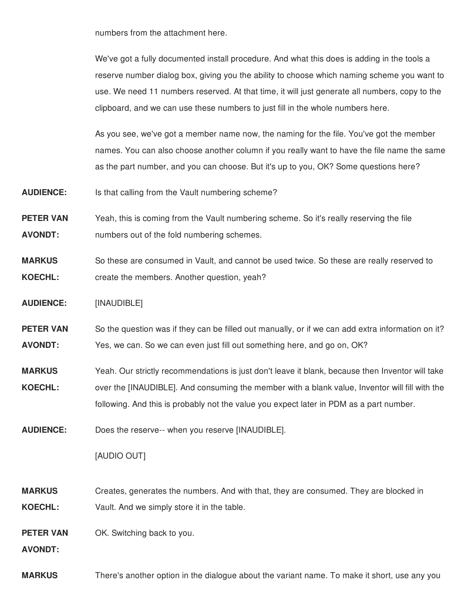numbers from the attachment here.

We've got a fully documented install procedure. And what this does is adding in the tools a reserve number dialog box, giving you the ability to choose which naming scheme you want to use. We need 11 numbers reserved. At that time, it will just generate all numbers, copy to the clipboard, and we can use these numbers to just fill in the whole numbers here.

As you see, we've got a member name now, the naming for the file. You've got the member names. You can also choose another column if you really want to have the file name the same as the part number, and you can choose. But it's up to you, OK? Some questions here?

**AUDIENCE:** Is that calling from the Vault numbering scheme?

**PETER VAN AVONDT:** Yeah, this is coming from the Vault numbering scheme. So it's really reserving the file numbers out of the fold numbering schemes.

**MARKUS KOECHL:** So these are consumed in Vault, and cannot be used twice. So these are really reserved to create the members. Another question, yeah?

**AUDIENCE:** [INAUDIBLE]

**PETER VAN AVONDT:** So the question was if they can be filled out manually, or if we can add extra information on it? Yes, we can. So we can even just fill out something here, and go on, OK?

**MARKUS KOECHL:** Yeah. Our strictly recommendations is just don't leave it blank, because then Inventor will take over the [INAUDIBLE]. And consuming the member with a blank value, Inventor will fill with the following. And this is probably not the value you expect later in PDM as a part number.

**AUDIENCE:** Does the reserve-- when you reserve [INAUDIBLE].

## [AUDIO OUT]

**MARKUS KOECHL:** Creates, generates the numbers. And with that, they are consumed. They are blocked in Vault. And we simply store it in the table.

**PETER VAN** OK. Switching back to you.

**AVONDT:**

**MARKUS** There's another option in the dialogue about the variant name. To make it short, use any you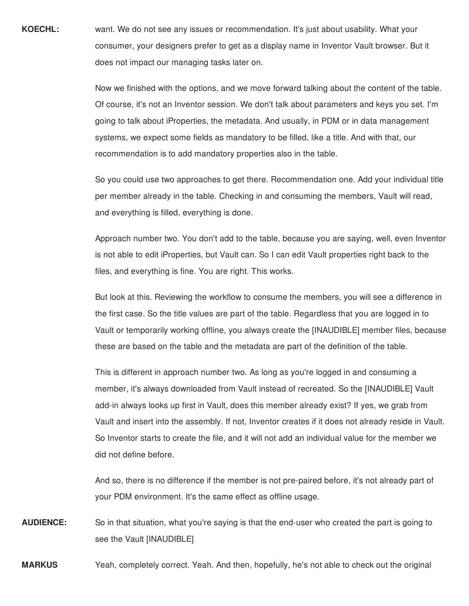**KOECHL:** want. We do not see any issues or recommendation. It's just about usability. What your consumer, your designers prefer to get as a display name in Inventor Vault browser. But it does not impact our managing tasks later on.

> Now we finished with the options, and we move forward talking about the content of the table. Of course, it's not an Inventor session. We don't talk about parameters and keys you set. I'm going to talk about iProperties, the metadata. And usually, in PDM or in data management systems, we expect some fields as mandatory to be filled, like a title. And with that, our recommendation is to add mandatory properties also in the table.

> So you could use two approaches to get there. Recommendation one. Add your individual title per member already in the table. Checking in and consuming the members, Vault will read, and everything is filled, everything is done.

> Approach number two. You don't add to the table, because you are saying, well, even Inventor is not able to edit iProperties, but Vault can. So I can edit Vault properties right back to the files, and everything is fine. You are right. This works.

> But look at this. Reviewing the workflow to consume the members, you will see a difference in the first case. So the title values are part of the table. Regardless that you are logged in to Vault or temporarily working offline, you always create the [INAUDIBLE] member files, because these are based on the table and the metadata are part of the definition of the table.

> This is different in approach number two. As long as you're logged in and consuming a member, it's always downloaded from Vault instead of recreated. So the [INAUDIBLE] Vault add-in always looks up first in Vault, does this member already exist? If yes, we grab from Vault and insert into the assembly. If not, Inventor creates if it does not already reside in Vault. So Inventor starts to create the file, and it will not add an individual value for the member we did not define before.

And so, there is no difference if the member is not pre-paired before, it's not already part of your PDM environment. It's the same effect as offline usage.

**AUDIENCE:** So in that situation, what you're saying is that the end-user who created the part is going to see the Vault [INAUDIBLE]

**MARKUS** Yeah, completely correct. Yeah. And then, hopefully, he's not able to check out the original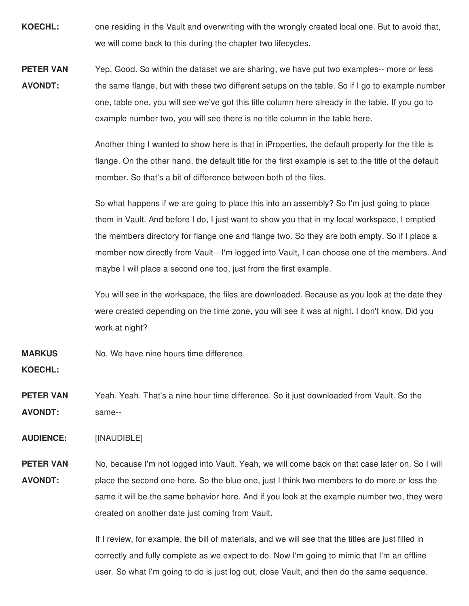- **KOECHL:** one residing in the Vault and overwriting with the wrongly created local one. But to avoid that, we will come back to this during the chapter two lifecycles.
- **PETER VAN AVONDT:** Yep. Good. So within the dataset we are sharing, we have put two examples-- more or less the same flange, but with these two different setups on the table. So if I go to example number one, table one, you will see we've got this title column here already in the table. If you go to example number two, you will see there is no title column in the table here.

Another thing I wanted to show here is that in iProperties, the default property for the title is flange. On the other hand, the default title for the first example is set to the title of the default member. So that's a bit of difference between both of the files.

So what happens if we are going to place this into an assembly? So I'm just going to place them in Vault. And before I do, I just want to show you that in my local workspace, I emptied the members directory for flange one and flange two. So they are both empty. So if I place a member now directly from Vault-- I'm logged into Vault, I can choose one of the members. And maybe I will place a second one too, just from the first example.

You will see in the workspace, the files are downloaded. Because as you look at the date they were created depending on the time zone, you will see it was at night. I don't know. Did you work at night?

**MARKUS** No. We have nine hours time difference.

**KOECHL:**

**PETER VAN AVONDT:** Yeah. Yeah. That's a nine hour time difference. So it just downloaded from Vault. So the same--

**AUDIENCE:** [INAUDIBLE]

**PETER VAN AVONDT:** No, because I'm not logged into Vault. Yeah, we will come back on that case later on. So I will place the second one here. So the blue one, just I think two members to do more or less the same it will be the same behavior here. And if you look at the example number two, they were created on another date just coming from Vault.

> If I review, for example, the bill of materials, and we will see that the titles are just filled in correctly and fully complete as we expect to do. Now I'm going to mimic that I'm an offline user. So what I'm going to do is just log out, close Vault, and then do the same sequence.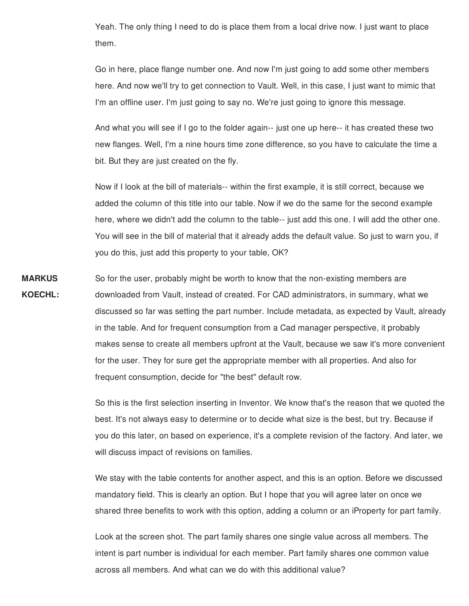Yeah. The only thing I need to do is place them from a local drive now. I just want to place them.

Go in here, place flange number one. And now I'm just going to add some other members here. And now we'll try to get connection to Vault. Well, in this case, I just want to mimic that I'm an offline user. I'm just going to say no. We're just going to ignore this message.

And what you will see if I go to the folder again-- just one up here-- it has created these two new flanges. Well, I'm a nine hours time zone difference, so you have to calculate the time a bit. But they are just created on the fly.

Now if I look at the bill of materials-- within the first example, it is still correct, because we added the column of this title into our table. Now if we do the same for the second example here, where we didn't add the column to the table-- just add this one. I will add the other one. You will see in the bill of material that it already adds the default value. So just to warn you, if you do this, just add this property to your table, OK?

**MARKUS KOECHL:** So for the user, probably might be worth to know that the non-existing members are downloaded from Vault, instead of created. For CAD administrators, in summary, what we discussed so far was setting the part number. Include metadata, as expected by Vault, already in the table. And for frequent consumption from a Cad manager perspective, it probably makes sense to create all members upfront at the Vault, because we saw it's more convenient for the user. They for sure get the appropriate member with all properties. And also for frequent consumption, decide for "the best" default row.

> So this is the first selection inserting in Inventor. We know that's the reason that we quoted the best. It's not always easy to determine or to decide what size is the best, but try. Because if you do this later, on based on experience, it's a complete revision of the factory. And later, we will discuss impact of revisions on families.

> We stay with the table contents for another aspect, and this is an option. Before we discussed mandatory field. This is clearly an option. But I hope that you will agree later on once we shared three benefits to work with this option, adding a column or an iProperty for part family.

Look at the screen shot. The part family shares one single value across all members. The intent is part number is individual for each member. Part family shares one common value across all members. And what can we do with this additional value?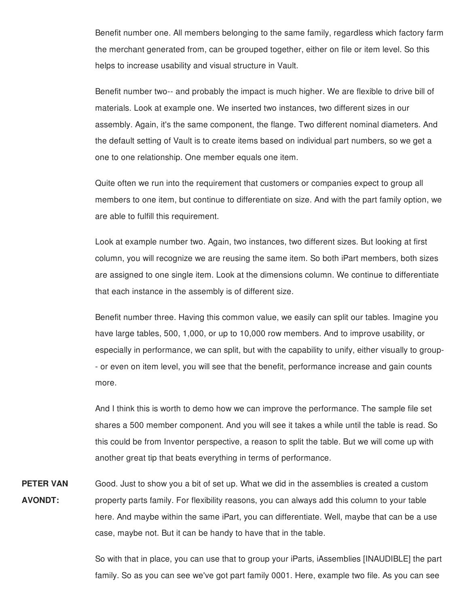Benefit number one. All members belonging to the same family, regardless which factory farm the merchant generated from, can be grouped together, either on file or item level. So this helps to increase usability and visual structure in Vault.

Benefit number two-- and probably the impact is much higher. We are flexible to drive bill of materials. Look at example one. We inserted two instances, two different sizes in our assembly. Again, it's the same component, the flange. Two different nominal diameters. And the default setting of Vault is to create items based on individual part numbers, so we get a one to one relationship. One member equals one item.

Quite often we run into the requirement that customers or companies expect to group all members to one item, but continue to differentiate on size. And with the part family option, we are able to fulfill this requirement.

Look at example number two. Again, two instances, two different sizes. But looking at first column, you will recognize we are reusing the same item. So both iPart members, both sizes are assigned to one single item. Look at the dimensions column. We continue to differentiate that each instance in the assembly is of different size.

Benefit number three. Having this common value, we easily can split our tables. Imagine you have large tables, 500, 1,000, or up to 10,000 row members. And to improve usability, or especially in performance, we can split, but with the capability to unify, either visually to group- - or even on item level, you will see that the benefit, performance increase and gain counts more.

And I think this is worth to demo how we can improve the performance. The sample file set shares a 500 member component. And you will see it takes a while until the table is read. So this could be from Inventor perspective, a reason to split the table. But we will come up with another great tip that beats everything in terms of performance.

**PETER VAN AVONDT:** Good. Just to show you a bit of set up. What we did in the assemblies is created a custom property parts family. For flexibility reasons, you can always add this column to your table here. And maybe within the same iPart, you can differentiate. Well, maybe that can be a use case, maybe not. But it can be handy to have that in the table.

> So with that in place, you can use that to group your iParts, iAssemblies [INAUDIBLE] the part family. So as you can see we've got part family 0001. Here, example two file. As you can see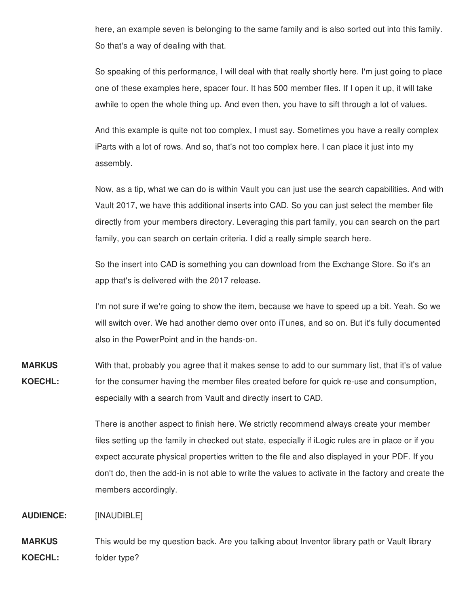here, an example seven is belonging to the same family and is also sorted out into this family. So that's a way of dealing with that.

So speaking of this performance, I will deal with that really shortly here. I'm just going to place one of these examples here, spacer four. It has 500 member files. If I open it up, it will take awhile to open the whole thing up. And even then, you have to sift through a lot of values.

And this example is quite not too complex, I must say. Sometimes you have a really complex iParts with a lot of rows. And so, that's not too complex here. I can place it just into my assembly.

Now, as a tip, what we can do is within Vault you can just use the search capabilities. And with Vault 2017, we have this additional inserts into CAD. So you can just select the member file directly from your members directory. Leveraging this part family, you can search on the part family, you can search on certain criteria. I did a really simple search here.

So the insert into CAD is something you can download from the Exchange Store. So it's an app that's is delivered with the 2017 release.

I'm not sure if we're going to show the item, because we have to speed up a bit. Yeah. So we will switch over. We had another demo over onto iTunes, and so on. But it's fully documented also in the PowerPoint and in the hands-on.

**MARKUS KOECHL:** With that, probably you agree that it makes sense to add to our summary list, that it's of value for the consumer having the member files created before for quick re-use and consumption, especially with a search from Vault and directly insert to CAD.

> There is another aspect to finish here. We strictly recommend always create your member files setting up the family in checked out state, especially if iLogic rules are in place or if you expect accurate physical properties written to the file and also displayed in your PDF. If you don't do, then the add-in is not able to write the values to activate in the factory and create the members accordingly.

## **AUDIENCE:** [INAUDIBLE]

**MARKUS KOECHL:** This would be my question back. Are you talking about Inventor library path or Vault library folder type?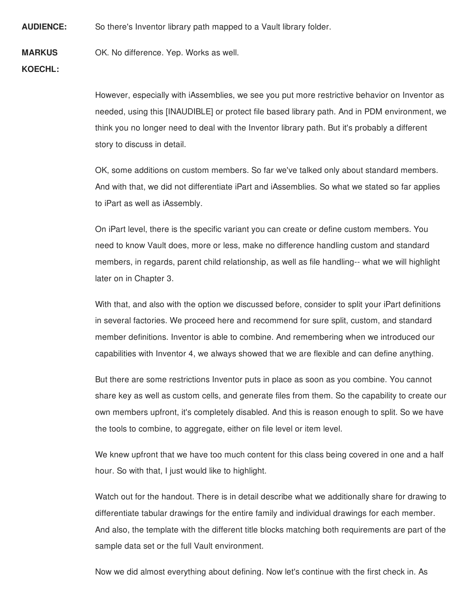**AUDIENCE:** So there's Inventor library path mapped to a Vault library folder.

**MARKUS** OK. No difference. Yep. Works as well.

**KOECHL:**

However, especially with iAssemblies, we see you put more restrictive behavior on Inventor as needed, using this [INAUDIBLE] or protect file based library path. And in PDM environment, we think you no longer need to deal with the Inventor library path. But it's probably a different story to discuss in detail.

OK, some additions on custom members. So far we've talked only about standard members. And with that, we did not differentiate iPart and iAssemblies. So what we stated so far applies to iPart as well as iAssembly.

On iPart level, there is the specific variant you can create or define custom members. You need to know Vault does, more or less, make no difference handling custom and standard members, in regards, parent child relationship, as well as file handling-- what we will highlight later on in Chapter 3.

With that, and also with the option we discussed before, consider to split your iPart definitions in several factories. We proceed here and recommend for sure split, custom, and standard member definitions. Inventor is able to combine. And remembering when we introduced our capabilities with Inventor 4, we always showed that we are flexible and can define anything.

But there are some restrictions Inventor puts in place as soon as you combine. You cannot share key as well as custom cells, and generate files from them. So the capability to create our own members upfront, it's completely disabled. And this is reason enough to split. So we have the tools to combine, to aggregate, either on file level or item level.

We knew upfront that we have too much content for this class being covered in one and a half hour. So with that, I just would like to highlight.

Watch out for the handout. There is in detail describe what we additionally share for drawing to differentiate tabular drawings for the entire family and individual drawings for each member. And also, the template with the different title blocks matching both requirements are part of the sample data set or the full Vault environment.

Now we did almost everything about defining. Now let's continue with the first check in. As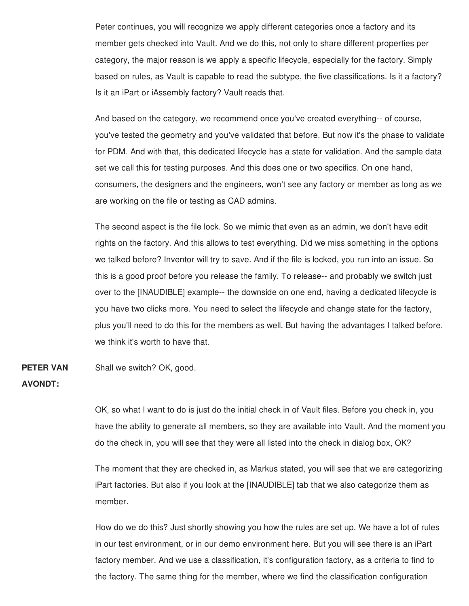Peter continues, you will recognize we apply different categories once a factory and its member gets checked into Vault. And we do this, not only to share different properties per category, the major reason is we apply a specific lifecycle, especially for the factory. Simply based on rules, as Vault is capable to read the subtype, the five classifications. Is it a factory? Is it an iPart or iAssembly factory? Vault reads that.

And based on the category, we recommend once you've created everything-- of course, you've tested the geometry and you've validated that before. But now it's the phase to validate for PDM. And with that, this dedicated lifecycle has a state for validation. And the sample data set we call this for testing purposes. And this does one or two specifics. On one hand, consumers, the designers and the engineers, won't see any factory or member as long as we are working on the file or testing as CAD admins.

The second aspect is the file lock. So we mimic that even as an admin, we don't have edit rights on the factory. And this allows to test everything. Did we miss something in the options we talked before? Inventor will try to save. And if the file is locked, you run into an issue. So this is a good proof before you release the family. To release-- and probably we switch just over to the [INAUDIBLE] example-- the downside on one end, having a dedicated lifecycle is you have two clicks more. You need to select the lifecycle and change state for the factory, plus you'll need to do this for the members as well. But having the advantages I talked before, we think it's worth to have that.

## **PETER VAN** Shall we switch? OK, good.

## **AVONDT:**

OK, so what I want to do is just do the initial check in of Vault files. Before you check in, you have the ability to generate all members, so they are available into Vault. And the moment you do the check in, you will see that they were all listed into the check in dialog box, OK?

The moment that they are checked in, as Markus stated, you will see that we are categorizing iPart factories. But also if you look at the [INAUDIBLE] tab that we also categorize them as member.

How do we do this? Just shortly showing you how the rules are set up. We have a lot of rules in our test environment, or in our demo environment here. But you will see there is an iPart factory member. And we use a classification, it's configuration factory, as a criteria to find to the factory. The same thing for the member, where we find the classification configuration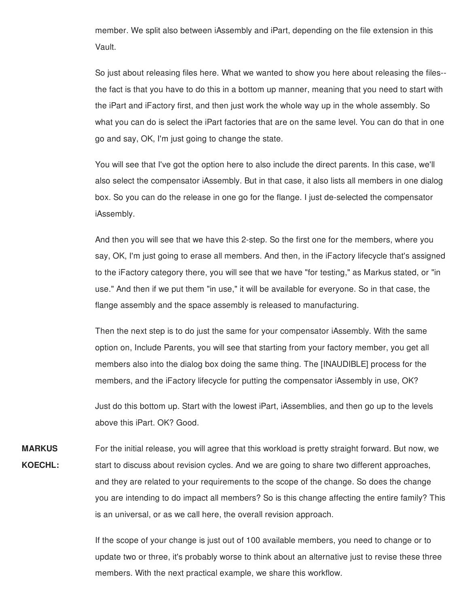member. We split also between iAssembly and iPart, depending on the file extension in this Vault.

So just about releasing files here. What we wanted to show you here about releasing the files- the fact is that you have to do this in a bottom up manner, meaning that you need to start with the iPart and iFactory first, and then just work the whole way up in the whole assembly. So what you can do is select the iPart factories that are on the same level. You can do that in one go and say, OK, I'm just going to change the state.

You will see that I've got the option here to also include the direct parents. In this case, we'll also select the compensator iAssembly. But in that case, it also lists all members in one dialog box. So you can do the release in one go for the flange. I just de-selected the compensator iAssembly.

And then you will see that we have this 2-step. So the first one for the members, where you say, OK, I'm just going to erase all members. And then, in the iFactory lifecycle that's assigned to the iFactory category there, you will see that we have "for testing," as Markus stated, or "in use." And then if we put them "in use," it will be available for everyone. So in that case, the flange assembly and the space assembly is released to manufacturing.

Then the next step is to do just the same for your compensator iAssembly. With the same option on, Include Parents, you will see that starting from your factory member, you get all members also into the dialog box doing the same thing. The [INAUDIBLE] process for the members, and the iFactory lifecycle for putting the compensator iAssembly in use, OK?

Just do this bottom up. Start with the lowest iPart, iAssemblies, and then go up to the levels above this iPart. OK? Good.

**MARKUS KOECHL:** For the initial release, you will agree that this workload is pretty straight forward. But now, we start to discuss about revision cycles. And we are going to share two different approaches, and they are related to your requirements to the scope of the change. So does the change you are intending to do impact all members? So is this change affecting the entire family? This is an universal, or as we call here, the overall revision approach.

> If the scope of your change is just out of 100 available members, you need to change or to update two or three, it's probably worse to think about an alternative just to revise these three members. With the next practical example, we share this workflow.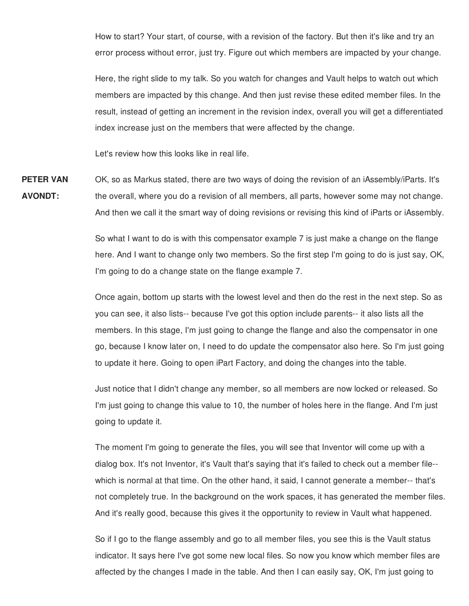How to start? Your start, of course, with a revision of the factory. But then it's like and try an error process without error, just try. Figure out which members are impacted by your change.

Here, the right slide to my talk. So you watch for changes and Vault helps to watch out which members are impacted by this change. And then just revise these edited member files. In the result, instead of getting an increment in the revision index, overall you will get a differentiated index increase just on the members that were affected by the change.

Let's review how this looks like in real life.

**PETER VAN AVONDT:** OK, so as Markus stated, there are two ways of doing the revision of an iAssembly/iParts. It's the overall, where you do a revision of all members, all parts, however some may not change. And then we call it the smart way of doing revisions or revising this kind of iParts or iAssembly.

> So what I want to do is with this compensator example 7 is just make a change on the flange here. And I want to change only two members. So the first step I'm going to do is just say, OK, I'm going to do a change state on the flange example 7.

> Once again, bottom up starts with the lowest level and then do the rest in the next step. So as you can see, it also lists-- because I've got this option include parents-- it also lists all the members. In this stage, I'm just going to change the flange and also the compensator in one go, because I know later on, I need to do update the compensator also here. So I'm just going to update it here. Going to open iPart Factory, and doing the changes into the table.

Just notice that I didn't change any member, so all members are now locked or released. So I'm just going to change this value to 10, the number of holes here in the flange. And I'm just going to update it.

The moment I'm going to generate the files, you will see that Inventor will come up with a dialog box. It's not Inventor, it's Vault that's saying that it's failed to check out a member file- which is normal at that time. On the other hand, it said, I cannot generate a member-- that's not completely true. In the background on the work spaces, it has generated the member files. And it's really good, because this gives it the opportunity to review in Vault what happened.

So if I go to the flange assembly and go to all member files, you see this is the Vault status indicator. It says here I've got some new local files. So now you know which member files are affected by the changes I made in the table. And then I can easily say, OK, I'm just going to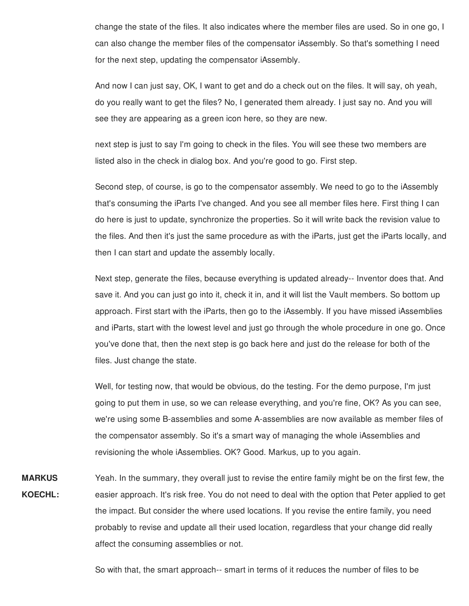change the state of the files. It also indicates where the member files are used. So in one go, I can also change the member files of the compensator iAssembly. So that's something I need for the next step, updating the compensator iAssembly.

And now I can just say, OK, I want to get and do a check out on the files. It will say, oh yeah, do you really want to get the files? No, I generated them already. I just say no. And you will see they are appearing as a green icon here, so they are new.

next step is just to say I'm going to check in the files. You will see these two members are listed also in the check in dialog box. And you're good to go. First step.

Second step, of course, is go to the compensator assembly. We need to go to the iAssembly that's consuming the iParts I've changed. And you see all member files here. First thing I can do here is just to update, synchronize the properties. So it will write back the revision value to the files. And then it's just the same procedure as with the iParts, just get the iParts locally, and then I can start and update the assembly locally.

Next step, generate the files, because everything is updated already-- Inventor does that. And save it. And you can just go into it, check it in, and it will list the Vault members. So bottom up approach. First start with the iParts, then go to the iAssembly. If you have missed iAssemblies and iParts, start with the lowest level and just go through the whole procedure in one go. Once you've done that, then the next step is go back here and just do the release for both of the files. Just change the state.

Well, for testing now, that would be obvious, do the testing. For the demo purpose, I'm just going to put them in use, so we can release everything, and you're fine, OK? As you can see, we're using some B-assemblies and some A-assemblies are now available as member files of the compensator assembly. So it's a smart way of managing the whole iAssemblies and revisioning the whole iAssemblies. OK? Good. Markus, up to you again.

**MARKUS KOECHL:** Yeah. In the summary, they overall just to revise the entire family might be on the first few, the easier approach. It's risk free. You do not need to deal with the option that Peter applied to get the impact. But consider the where used locations. If you revise the entire family, you need probably to revise and update all their used location, regardless that your change did really affect the consuming assemblies or not.

So with that, the smart approach-- smart in terms of it reduces the number of files to be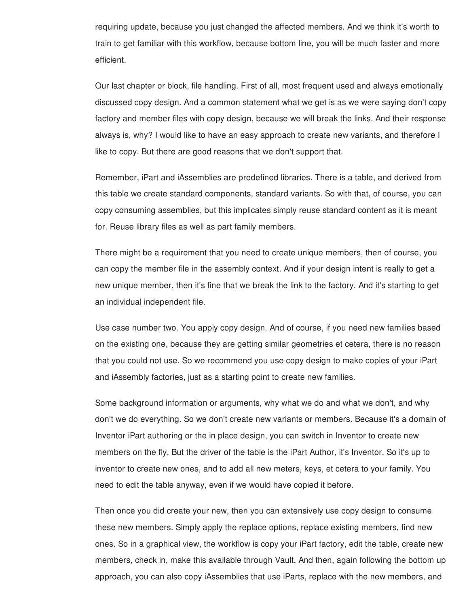requiring update, because you just changed the affected members. And we think it's worth to train to get familiar with this workflow, because bottom line, you will be much faster and more efficient.

Our last chapter or block, file handling. First of all, most frequent used and always emotionally discussed copy design. And a common statement what we get is as we were saying don't copy factory and member files with copy design, because we will break the links. And their response always is, why? I would like to have an easy approach to create new variants, and therefore I like to copy. But there are good reasons that we don't support that.

Remember, iPart and iAssemblies are predefined libraries. There is a table, and derived from this table we create standard components, standard variants. So with that, of course, you can copy consuming assemblies, but this implicates simply reuse standard content as it is meant for. Reuse library files as well as part family members.

There might be a requirement that you need to create unique members, then of course, you can copy the member file in the assembly context. And if your design intent is really to get a new unique member, then it's fine that we break the link to the factory. And it's starting to get an individual independent file.

Use case number two. You apply copy design. And of course, if you need new families based on the existing one, because they are getting similar geometries et cetera, there is no reason that you could not use. So we recommend you use copy design to make copies of your iPart and iAssembly factories, just as a starting point to create new families.

Some background information or arguments, why what we do and what we don't, and why don't we do everything. So we don't create new variants or members. Because it's a domain of Inventor iPart authoring or the in place design, you can switch in Inventor to create new members on the fly. But the driver of the table is the iPart Author, it's Inventor. So it's up to inventor to create new ones, and to add all new meters, keys, et cetera to your family. You need to edit the table anyway, even if we would have copied it before.

Then once you did create your new, then you can extensively use copy design to consume these new members. Simply apply the replace options, replace existing members, find new ones. So in a graphical view, the workflow is copy your iPart factory, edit the table, create new members, check in, make this available through Vault. And then, again following the bottom up approach, you can also copy iAssemblies that use iParts, replace with the new members, and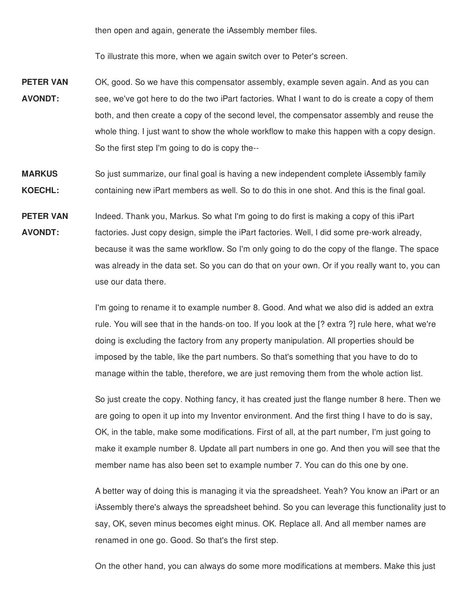then open and again, generate the iAssembly member files.

To illustrate this more, when we again switch over to Peter's screen.

- **PETER VAN AVONDT:** OK, good. So we have this compensator assembly, example seven again. And as you can see, we've got here to do the two iPart factories. What I want to do is create a copy of them both, and then create a copy of the second level, the compensator assembly and reuse the whole thing. I just want to show the whole workflow to make this happen with a copy design. So the first step I'm going to do is copy the--
- **MARKUS KOECHL:** So just summarize, our final goal is having a new independent complete iAssembly family containing new iPart members as well. So to do this in one shot. And this is the final goal.
- **PETER VAN AVONDT:** Indeed. Thank you, Markus. So what I'm going to do first is making a copy of this iPart factories. Just copy design, simple the iPart factories. Well, I did some pre-work already, because it was the same workflow. So I'm only going to do the copy of the flange. The space was already in the data set. So you can do that on your own. Or if you really want to, you can use our data there.

I'm going to rename it to example number 8. Good. And what we also did is added an extra rule. You will see that in the hands-on too. If you look at the [? extra ?] rule here, what we're doing is excluding the factory from any property manipulation. All properties should be imposed by the table, like the part numbers. So that's something that you have to do to manage within the table, therefore, we are just removing them from the whole action list.

So just create the copy. Nothing fancy, it has created just the flange number 8 here. Then we are going to open it up into my Inventor environment. And the first thing I have to do is say, OK, in the table, make some modifications. First of all, at the part number, I'm just going to make it example number 8. Update all part numbers in one go. And then you will see that the member name has also been set to example number 7. You can do this one by one.

A better way of doing this is managing it via the spreadsheet. Yeah? You know an iPart or an iAssembly there's always the spreadsheet behind. So you can leverage this functionality just to say, OK, seven minus becomes eight minus. OK. Replace all. And all member names are renamed in one go. Good. So that's the first step.

On the other hand, you can always do some more modifications at members. Make this just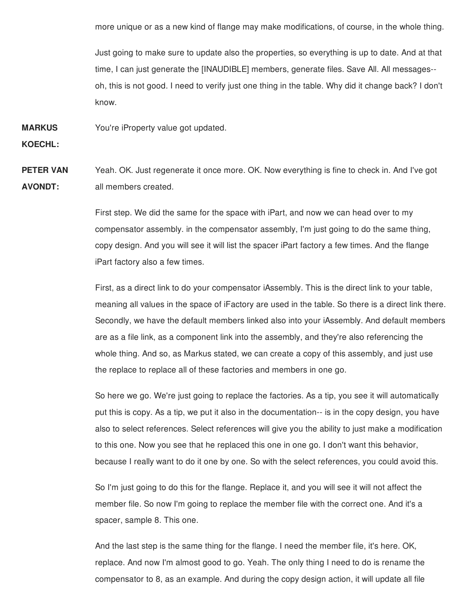more unique or as a new kind of flange may make modifications, of course, in the whole thing.

Just going to make sure to update also the properties, so everything is up to date. And at that time, I can just generate the [INAUDIBLE] members, generate files. Save All. All messages- oh, this is not good. I need to verify just one thing in the table. Why did it change back? I don't know.

**MARKUS** You're iProperty value got updated.

**KOECHL:**

**PETER VAN AVONDT:** Yeah. OK. Just regenerate it once more. OK. Now everything is fine to check in. And I've got all members created.

> First step. We did the same for the space with iPart, and now we can head over to my compensator assembly. in the compensator assembly, I'm just going to do the same thing, copy design. And you will see it will list the spacer iPart factory a few times. And the flange iPart factory also a few times.

First, as a direct link to do your compensator iAssembly. This is the direct link to your table, meaning all values in the space of iFactory are used in the table. So there is a direct link there. Secondly, we have the default members linked also into your iAssembly. And default members are as a file link, as a component link into the assembly, and they're also referencing the whole thing. And so, as Markus stated, we can create a copy of this assembly, and just use the replace to replace all of these factories and members in one go.

So here we go. We're just going to replace the factories. As a tip, you see it will automatically put this is copy. As a tip, we put it also in the documentation-- is in the copy design, you have also to select references. Select references will give you the ability to just make a modification to this one. Now you see that he replaced this one in one go. I don't want this behavior, because I really want to do it one by one. So with the select references, you could avoid this.

So I'm just going to do this for the flange. Replace it, and you will see it will not affect the member file. So now I'm going to replace the member file with the correct one. And it's a spacer, sample 8. This one.

And the last step is the same thing for the flange. I need the member file, it's here. OK, replace. And now I'm almost good to go. Yeah. The only thing I need to do is rename the compensator to 8, as an example. And during the copy design action, it will update all file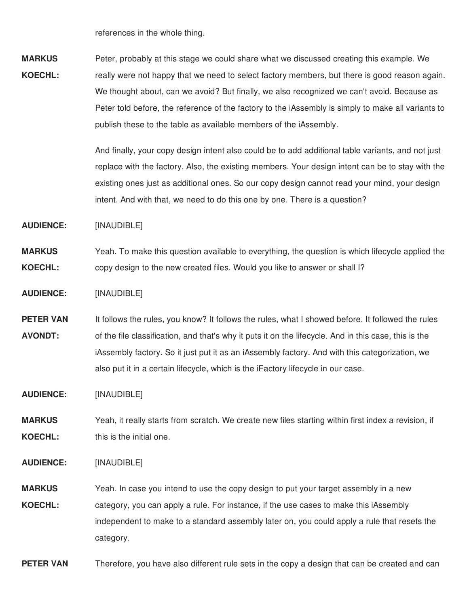references in the whole thing.

**MARKUS KOECHL:** Peter, probably at this stage we could share what we discussed creating this example. We really were not happy that we need to select factory members, but there is good reason again. We thought about, can we avoid? But finally, we also recognized we can't avoid. Because as Peter told before, the reference of the factory to the iAssembly is simply to make all variants to publish these to the table as available members of the iAssembly.

> And finally, your copy design intent also could be to add additional table variants, and not just replace with the factory. Also, the existing members. Your design intent can be to stay with the existing ones just as additional ones. So our copy design cannot read your mind, your design intent. And with that, we need to do this one by one. There is a question?

**AUDIENCE:** [INAUDIBLE]

**MARKUS KOECHL:** Yeah. To make this question available to everything, the question is which lifecycle applied the copy design to the new created files. Would you like to answer or shall I?

**AUDIENCE:** [INAUDIBLE]

- **PETER VAN AVONDT:** It follows the rules, you know? It follows the rules, what I showed before. It followed the rules of the file classification, and that's why it puts it on the lifecycle. And in this case, this is the iAssembly factory. So it just put it as an iAssembly factory. And with this categorization, we also put it in a certain lifecycle, which is the iFactory lifecycle in our case.
- **AUDIENCE:** [INAUDIBLE]
- **MARKUS KOECHL:** Yeah, it really starts from scratch. We create new files starting within first index a revision, if this is the initial one.

**AUDIENCE:** [INAUDIBLE]

**MARKUS KOECHL:** Yeah. In case you intend to use the copy design to put your target assembly in a new category, you can apply a rule. For instance, if the use cases to make this iAssembly independent to make to a standard assembly later on, you could apply a rule that resets the category.

**PETER VAN** Therefore, you have also different rule sets in the copy a design that can be created and can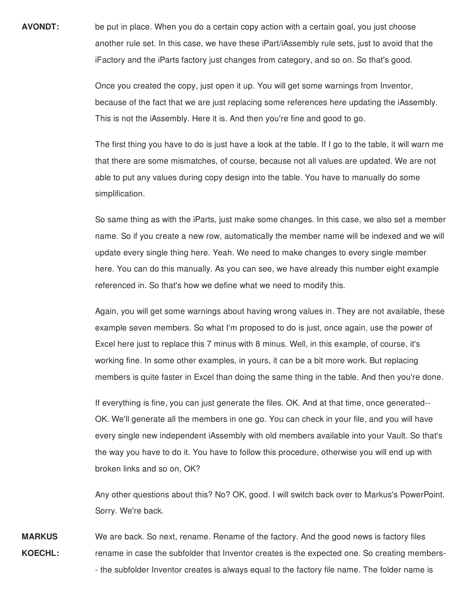**AVONDT:** be put in place. When you do a certain copy action with a certain goal, you just choose another rule set. In this case, we have these iPart/iAssembly rule sets, just to avoid that the iFactory and the iParts factory just changes from category, and so on. So that's good.

> Once you created the copy, just open it up. You will get some warnings from Inventor, because of the fact that we are just replacing some references here updating the iAssembly. This is not the iAssembly. Here it is. And then you're fine and good to go.

The first thing you have to do is just have a look at the table. If I go to the table, it will warn me that there are some mismatches, of course, because not all values are updated. We are not able to put any values during copy design into the table. You have to manually do some simplification.

So same thing as with the iParts, just make some changes. In this case, we also set a member name. So if you create a new row, automatically the member name will be indexed and we will update every single thing here. Yeah. We need to make changes to every single member here. You can do this manually. As you can see, we have already this number eight example referenced in. So that's how we define what we need to modify this.

Again, you will get some warnings about having wrong values in. They are not available, these example seven members. So what I'm proposed to do is just, once again, use the power of Excel here just to replace this 7 minus with 8 minus. Well, in this example, of course, it's working fine. In some other examples, in yours, it can be a bit more work. But replacing members is quite faster in Excel than doing the same thing in the table. And then you're done.

If everything is fine, you can just generate the files. OK. And at that time, once generated-- OK. We'll generate all the members in one go. You can check in your file, and you will have every single new independent iAssembly with old members available into your Vault. So that's the way you have to do it. You have to follow this procedure, otherwise you will end up with broken links and so on, OK?

Any other questions about this? No? OK, good. I will switch back over to Markus's PowerPoint. Sorry. We're back.

**MARKUS KOECHL:** We are back. So next, rename. Rename of the factory. And the good news is factory files rename in case the subfolder that Inventor creates is the expected one. So creating members- - the subfolder Inventor creates is always equal to the factory file name. The folder name is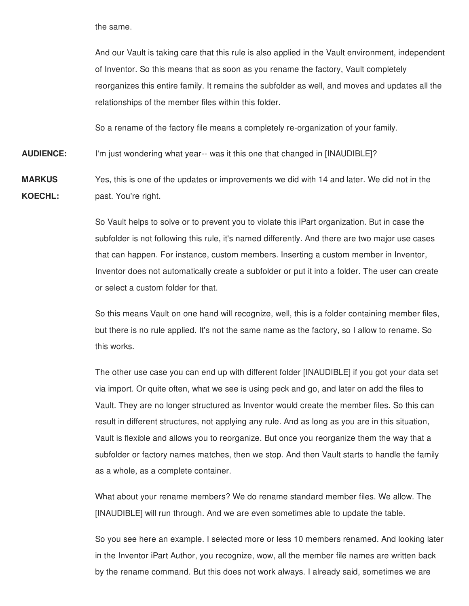the same.

And our Vault is taking care that this rule is also applied in the Vault environment, independent of Inventor. So this means that as soon as you rename the factory, Vault completely reorganizes this entire family. It remains the subfolder as well, and moves and updates all the relationships of the member files within this folder.

So a rename of the factory file means a completely re-organization of your family.

**AUDIENCE:** I'm just wondering what year-- was it this one that changed in [INAUDIBLE]?

**MARKUS KOECHL:** Yes, this is one of the updates or improvements we did with 14 and later. We did not in the past. You're right.

> So Vault helps to solve or to prevent you to violate this iPart organization. But in case the subfolder is not following this rule, it's named differently. And there are two major use cases that can happen. For instance, custom members. Inserting a custom member in Inventor, Inventor does not automatically create a subfolder or put it into a folder. The user can create or select a custom folder for that.

> So this means Vault on one hand will recognize, well, this is a folder containing member files, but there is no rule applied. It's not the same name as the factory, so I allow to rename. So this works.

> The other use case you can end up with different folder [INAUDIBLE] if you got your data set via import. Or quite often, what we see is using peck and go, and later on add the files to Vault. They are no longer structured as Inventor would create the member files. So this can result in different structures, not applying any rule. And as long as you are in this situation, Vault is flexible and allows you to reorganize. But once you reorganize them the way that a subfolder or factory names matches, then we stop. And then Vault starts to handle the family as a whole, as a complete container.

What about your rename members? We do rename standard member files. We allow. The [INAUDIBLE] will run through. And we are even sometimes able to update the table.

So you see here an example. I selected more or less 10 members renamed. And looking later in the Inventor iPart Author, you recognize, wow, all the member file names are written back by the rename command. But this does not work always. I already said, sometimes we are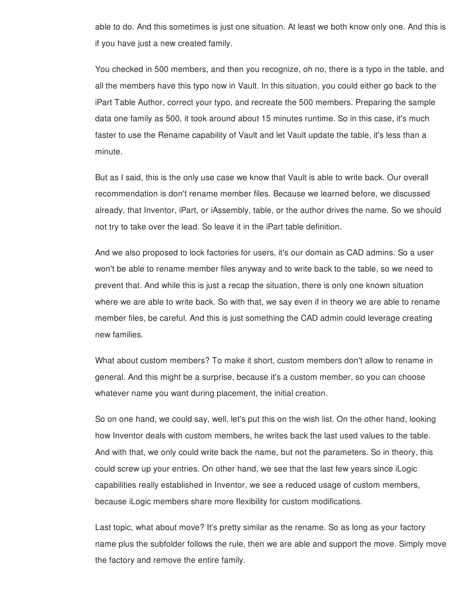able to do. And this sometimes is just one situation. At least we both know only one. And this is if you have just a new created family.

You checked in 500 members, and then you recognize, oh no, there is a typo in the table, and all the members have this typo now in Vault. In this situation, you could either go back to the iPart Table Author, correct your typo, and recreate the 500 members. Preparing the sample data one family as 500, it took around about 15 minutes runtime. So in this case, it's much faster to use the Rename capability of Vault and let Vault update the table, it's less than a minute.

But as I said, this is the only use case we know that Vault is able to write back. Our overall recommendation is don't rename member files. Because we learned before, we discussed already, that Inventor, iPart, or iAssembly, table, or the author drives the name. So we should not try to take over the lead. So leave it in the iPart table definition.

And we also proposed to lock factories for users, it's our domain as CAD admins. So a user won't be able to rename member files anyway and to write back to the table, so we need to prevent that. And while this is just a recap the situation, there is only one known situation where we are able to write back. So with that, we say even if in theory we are able to rename member files, be careful. And this is just something the CAD admin could leverage creating new families.

What about custom members? To make it short, custom members don't allow to rename in general. And this might be a surprise, because it's a custom member, so you can choose whatever name you want during placement, the initial creation.

So on one hand, we could say, well, let's put this on the wish list. On the other hand, looking how Inventor deals with custom members, he writes back the last used values to the table. And with that, we only could write back the name, but not the parameters. So in theory, this could screw up your entries. On other hand, we see that the last few years since iLogic capabilities really established in Inventor, we see a reduced usage of custom members, because iLogic members share more flexibility for custom modifications.

Last topic, what about move? It's pretty similar as the rename. So as long as your factory name plus the subfolder follows the rule, then we are able and support the move. Simply move the factory and remove the entire family.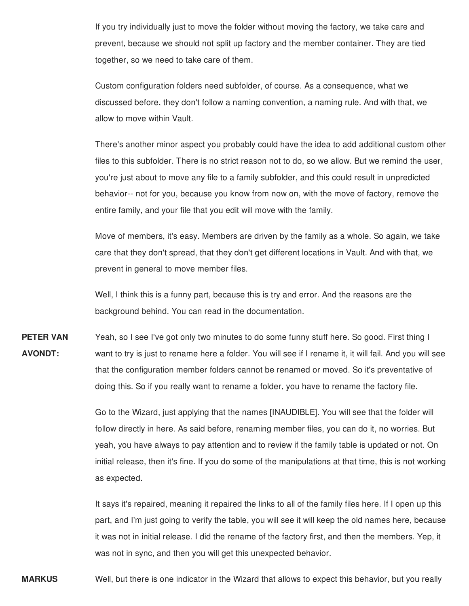If you try individually just to move the folder without moving the factory, we take care and prevent, because we should not split up factory and the member container. They are tied together, so we need to take care of them.

Custom configuration folders need subfolder, of course. As a consequence, what we discussed before, they don't follow a naming convention, a naming rule. And with that, we allow to move within Vault.

There's another minor aspect you probably could have the idea to add additional custom other files to this subfolder. There is no strict reason not to do, so we allow. But we remind the user, you're just about to move any file to a family subfolder, and this could result in unpredicted behavior-- not for you, because you know from now on, with the move of factory, remove the entire family, and your file that you edit will move with the family.

Move of members, it's easy. Members are driven by the family as a whole. So again, we take care that they don't spread, that they don't get different locations in Vault. And with that, we prevent in general to move member files.

Well, I think this is a funny part, because this is try and error. And the reasons are the background behind. You can read in the documentation.

**PETER VAN AVONDT:** Yeah, so I see I've got only two minutes to do some funny stuff here. So good. First thing I want to try is just to rename here a folder. You will see if I rename it, it will fail. And you will see that the configuration member folders cannot be renamed or moved. So it's preventative of doing this. So if you really want to rename a folder, you have to rename the factory file.

> Go to the Wizard, just applying that the names [INAUDIBLE]. You will see that the folder will follow directly in here. As said before, renaming member files, you can do it, no worries. But yeah, you have always to pay attention and to review if the family table is updated or not. On initial release, then it's fine. If you do some of the manipulations at that time, this is not working as expected.

> It says it's repaired, meaning it repaired the links to all of the family files here. If I open up this part, and I'm just going to verify the table, you will see it will keep the old names here, because it was not in initial release. I did the rename of the factory first, and then the members. Yep, it was not in sync, and then you will get this unexpected behavior.

**MARKUS** Well, but there is one indicator in the Wizard that allows to expect this behavior, but you really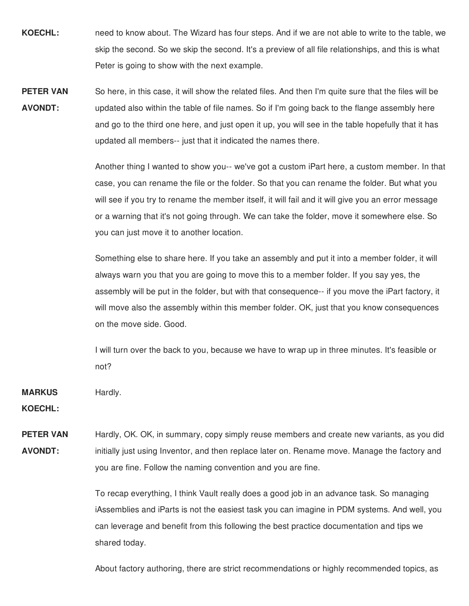- **KOECHL:** need to know about. The Wizard has four steps. And if we are not able to write to the table, we skip the second. So we skip the second. It's a preview of all file relationships, and this is what Peter is going to show with the next example.
- **PETER VAN AVONDT:** So here, in this case, it will show the related files. And then I'm quite sure that the files will be updated also within the table of file names. So if I'm going back to the flange assembly here and go to the third one here, and just open it up, you will see in the table hopefully that it has updated all members-- just that it indicated the names there.

Another thing I wanted to show you-- we've got a custom iPart here, a custom member. In that case, you can rename the file or the folder. So that you can rename the folder. But what you will see if you try to rename the member itself, it will fail and it will give you an error message or a warning that it's not going through. We can take the folder, move it somewhere else. So you can just move it to another location.

Something else to share here. If you take an assembly and put it into a member folder, it will always warn you that you are going to move this to a member folder. If you say yes, the assembly will be put in the folder, but with that consequence-- if you move the iPart factory, it will move also the assembly within this member folder. OK, just that you know consequences on the move side. Good.

I will turn over the back to you, because we have to wrap up in three minutes. It's feasible or not?

**MARKUS** Hardly.

**KOECHL:**

**PETER VAN AVONDT:** Hardly, OK. OK, in summary, copy simply reuse members and create new variants, as you did initially just using Inventor, and then replace later on. Rename move. Manage the factory and you are fine. Follow the naming convention and you are fine.

> To recap everything, I think Vault really does a good job in an advance task. So managing iAssemblies and iParts is not the easiest task you can imagine in PDM systems. And well, you can leverage and benefit from this following the best practice documentation and tips we shared today.

> About factory authoring, there are strict recommendations or highly recommended topics, as